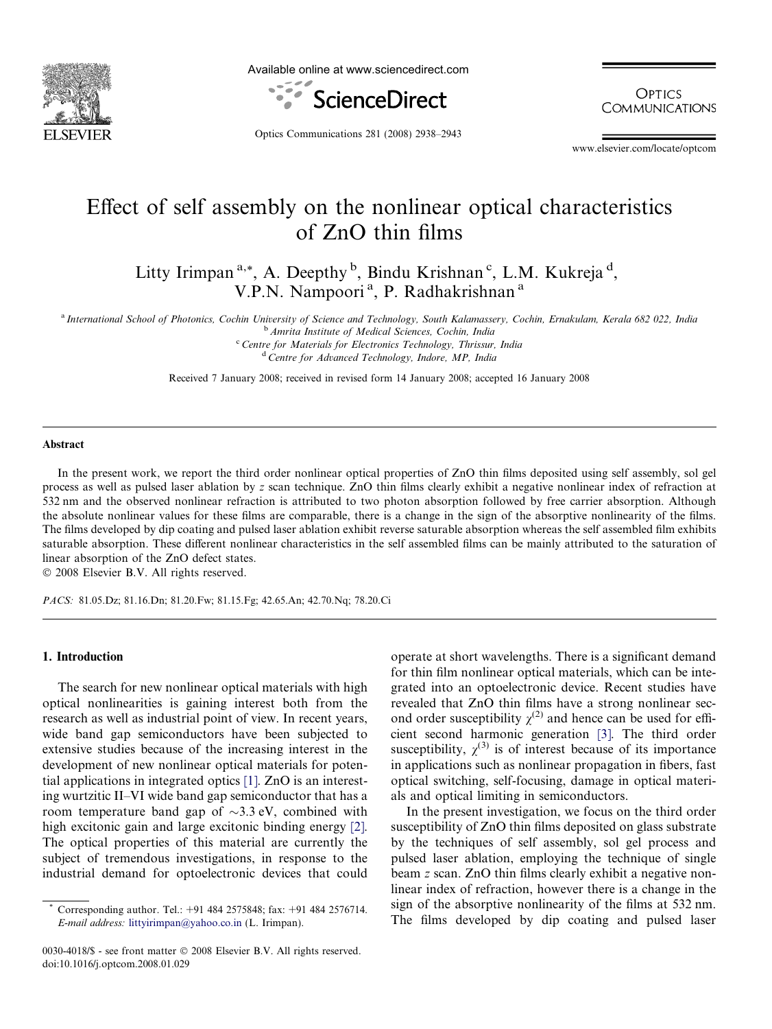

Available online at www.sciencedirect.com



**OPTICS COMMUNICATIONS** 

Optics Communications 281 (2008) 2938–2943

www.elsevier.com/locate/optcom

# Effect of self assembly on the nonlinear optical characteristics of ZnO thin films

Litty Irimpan<sup>a,\*</sup>, A. Deepthy<sup>b</sup>, Bindu Krishnan<sup>c</sup>, L.M. Kukreja<sup>d</sup>, V.P.N. Nampoori<sup>a</sup>, P. Radhakrishnan<sup>a</sup>

<sup>a</sup> International School of Photonics, Cochin University of Science and Technology, South Kalamassery, Cochin, Ernakulam, Kerala 682 022, India

<sup>b</sup> Amrita Institute of Medical Sciences, Cochin, India

<sup>c</sup> Centre for Materials for Electronics Technology, Thrissur, India <sup>d</sup> Centre for Advanced Technology, Indore, MP, India

Received 7 January 2008; received in revised form 14 January 2008; accepted 16 January 2008

#### Abstract

In the present work, we report the third order nonlinear optical properties of ZnO thin films deposited using self assembly, sol gel process as well as pulsed laser ablation by z scan technique. ZnO thin films clearly exhibit a negative nonlinear index of refraction at 532 nm and the observed nonlinear refraction is attributed to two photon absorption followed by free carrier absorption. Although the absolute nonlinear values for these films are comparable, there is a change in the sign of the absorptive nonlinearity of the films. The films developed by dip coating and pulsed laser ablation exhibit reverse saturable absorption whereas the self assembled film exhibits saturable absorption. These different nonlinear characteristics in the self assembled films can be mainly attributed to the saturation of linear absorption of the ZnO defect states.

© 2008 Elsevier B.V. All rights reserved.

PACS: 81.05.Dz; 81.16.Dn; 81.20.Fw; 81.15.Fg; 42.65.An; 42.70.Nq; 78.20.Ci

## 1. Introduction

The search for new nonlinear optical materials with high optical nonlinearities is gaining interest both from the research as well as industrial point of view. In recent years, wide band gap semiconductors have been subjected to extensive studies because of the increasing interest in the development of new nonlinear optical materials for potential applications in integrated optics [\[1\].](#page-5-0) ZnO is an interesting wurtzitic II–VI wide band gap semiconductor that has a room temperature band gap of  $\sim$ 3.3 eV, combined with high excitonic gain and large excitonic binding energy [\[2\]](#page-5-0). The optical properties of this material are currently the subject of tremendous investigations, in response to the industrial demand for optoelectronic devices that could

0030-4018/\$ - see front matter © 2008 Elsevier B.V. All rights reserved. doi:10.1016/j.optcom.2008.01.029

operate at short wavelengths. There is a significant demand for thin film nonlinear optical materials, which can be integrated into an optoelectronic device. Recent studies have revealed that ZnO thin films have a strong nonlinear second order susceptibility  $\chi^{(2)}$  and hence can be used for efficient second harmonic generation [\[3\]](#page-5-0). The third order susceptibility,  $\chi^{(3)}$  is of interest because of its importance in applications such as nonlinear propagation in fibers, fast optical switching, self-focusing, damage in optical materials and optical limiting in semiconductors.

In the present investigation, we focus on the third order susceptibility of ZnO thin films deposited on glass substrate by the techniques of self assembly, sol gel process and pulsed laser ablation, employing the technique of single beam z scan. ZnO thin films clearly exhibit a negative nonlinear index of refraction, however there is a change in the sign of the absorptive nonlinearity of the films at 532 nm. The films developed by dip coating and pulsed laser

<sup>\*</sup> Corresponding author. Tel.: +91 484 2575848; fax: +91 484 2576714. E-mail address: [littyirimpan@yahoo.co.in](mailto:littyirimpan@yahoo.co.in) (L. Irimpan).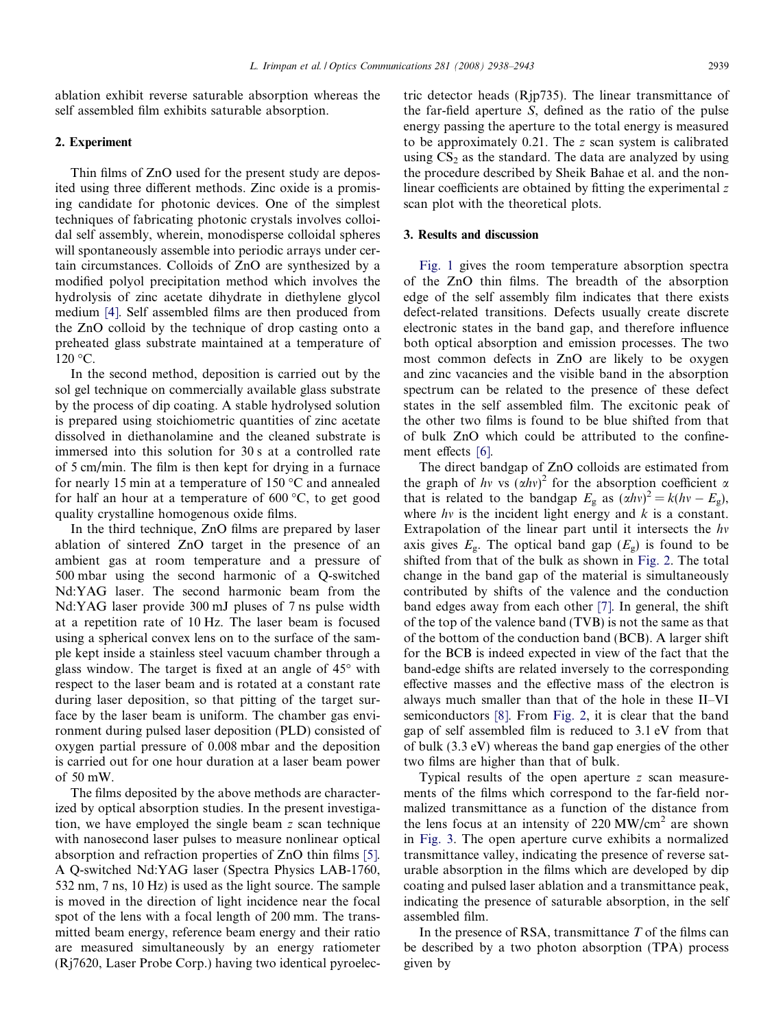ablation exhibit reverse saturable absorption whereas the self assembled film exhibits saturable absorption.

### 2. Experiment

Thin films of ZnO used for the present study are deposited using three different methods. Zinc oxide is a promising candidate for photonic devices. One of the simplest techniques of fabricating photonic crystals involves colloidal self assembly, wherein, monodisperse colloidal spheres will spontaneously assemble into periodic arrays under certain circumstances. Colloids of ZnO are synthesized by a modified polyol precipitation method which involves the hydrolysis of zinc acetate dihydrate in diethylene glycol medium [\[4\]](#page-5-0). Self assembled films are then produced from the ZnO colloid by the technique of drop casting onto a preheated glass substrate maintained at a temperature of  $120 °C$ .

In the second method, deposition is carried out by the sol gel technique on commercially available glass substrate by the process of dip coating. A stable hydrolysed solution is prepared using stoichiometric quantities of zinc acetate dissolved in diethanolamine and the cleaned substrate is immersed into this solution for 30 s at a controlled rate of 5 cm/min. The film is then kept for drying in a furnace for nearly 15 min at a temperature of 150  $\degree$ C and annealed for half an hour at a temperature of  $600 \degree C$ , to get good quality crystalline homogenous oxide films.

In the third technique, ZnO films are prepared by laser ablation of sintered ZnO target in the presence of an ambient gas at room temperature and a pressure of 500 mbar using the second harmonic of a Q-switched Nd:YAG laser. The second harmonic beam from the Nd:YAG laser provide 300 mJ pluses of 7 ns pulse width at a repetition rate of 10 Hz. The laser beam is focused using a spherical convex lens on to the surface of the sample kept inside a stainless steel vacuum chamber through a glass window. The target is fixed at an angle of  $45^{\circ}$  with respect to the laser beam and is rotated at a constant rate during laser deposition, so that pitting of the target surface by the laser beam is uniform. The chamber gas environment during pulsed laser deposition (PLD) consisted of oxygen partial pressure of 0.008 mbar and the deposition is carried out for one hour duration at a laser beam power of 50 mW.

The films deposited by the above methods are characterized by optical absorption studies. In the present investigation, we have employed the single beam z scan technique with nanosecond laser pulses to measure nonlinear optical absorption and refraction properties of ZnO thin films [\[5\].](#page-5-0) A Q-switched Nd:YAG laser (Spectra Physics LAB-1760, 532 nm, 7 ns, 10 Hz) is used as the light source. The sample is moved in the direction of light incidence near the focal spot of the lens with a focal length of 200 mm. The transmitted beam energy, reference beam energy and their ratio are measured simultaneously by an energy ratiometer (Rj7620, Laser Probe Corp.) having two identical pyroelectric detector heads (Rjp735). The linear transmittance of the far-field aperture S, defined as the ratio of the pulse energy passing the aperture to the total energy is measured to be approximately 0.21. The z scan system is calibrated using  $CS<sub>2</sub>$  as the standard. The data are analyzed by using the procedure described by Sheik Bahae et al. and the nonlinear coefficients are obtained by fitting the experimental z scan plot with the theoretical plots.

## 3. Results and discussion

[Fig. 1](#page-2-0) gives the room temperature absorption spectra of the ZnO thin films. The breadth of the absorption edge of the self assembly film indicates that there exists defect-related transitions. Defects usually create discrete electronic states in the band gap, and therefore influence both optical absorption and emission processes. The two most common defects in ZnO are likely to be oxygen and zinc vacancies and the visible band in the absorption spectrum can be related to the presence of these defect states in the self assembled film. The excitonic peak of the other two films is found to be blue shifted from that of bulk ZnO which could be attributed to the confine-ment effects [\[6\]](#page-5-0).

The direct bandgap of ZnO colloids are estimated from the graph of hv vs  $(\alpha h v)^2$  for the absorption coefficient a that is related to the bandgap  $E_{\rm g}$  as  $(\alpha h v)^2 = k(hv - E_{\rm g})$ , where  $hv$  is the incident light energy and  $k$  is a constant. Extrapolation of the linear part until it intersects the  $hv$ axis gives  $E_{\rm g}$ . The optical band gap  $(E_{\rm g})$  is found to be shifted from that of the bulk as shown in [Fig. 2](#page-2-0). The total change in the band gap of the material is simultaneously contributed by shifts of the valence and the conduction band edges away from each other [\[7\].](#page-5-0) In general, the shift of the top of the valence band (TVB) is not the same as that of the bottom of the conduction band (BCB). A larger shift for the BCB is indeed expected in view of the fact that the band-edge shifts are related inversely to the corresponding effective masses and the effective mass of the electron is always much smaller than that of the hole in these II–VI semiconductors [\[8\]](#page-5-0). From [Fig. 2](#page-2-0), it is clear that the band gap of self assembled film is reduced to 3.1 eV from that of bulk (3.3 eV) whereas the band gap energies of the other two films are higher than that of bulk.

Typical results of the open aperture z scan measurements of the films which correspond to the far-field normalized transmittance as a function of the distance from the lens focus at an intensity of  $220 \text{ MW/cm}^2$  are shown in [Fig. 3.](#page-3-0) The open aperture curve exhibits a normalized transmittance valley, indicating the presence of reverse saturable absorption in the films which are developed by dip coating and pulsed laser ablation and a transmittance peak, indicating the presence of saturable absorption, in the self assembled film.

In the presence of RSA, transmittance  $T$  of the films can be described by a two photon absorption (TPA) process given by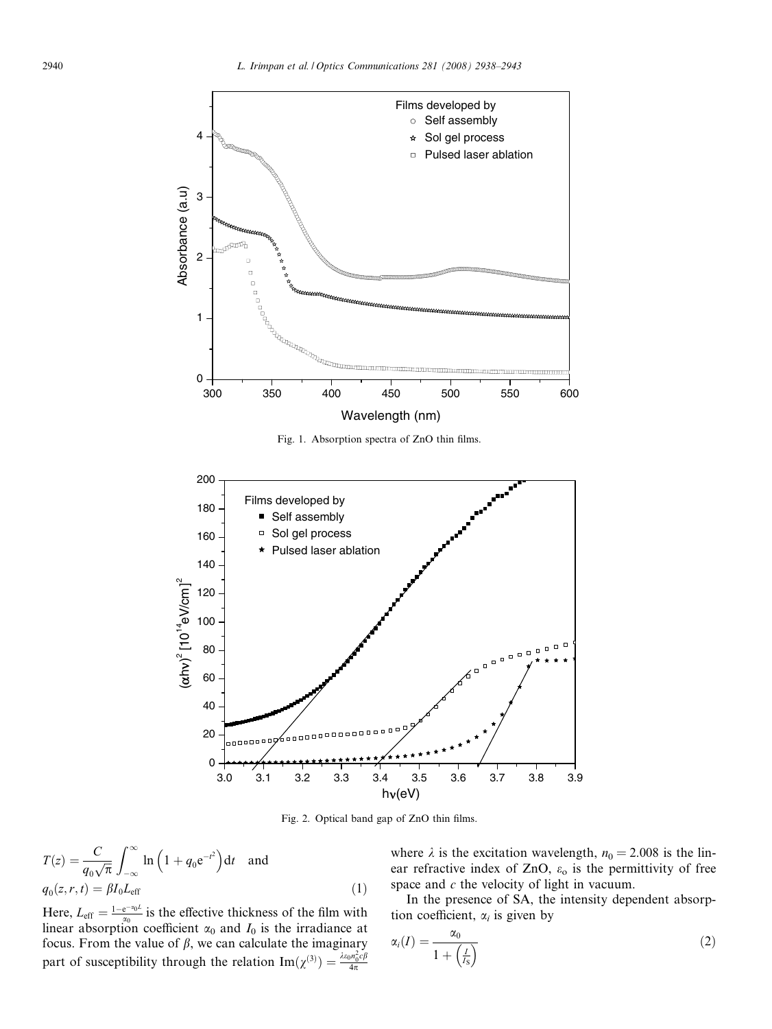<span id="page-2-0"></span>

Fig. 1. Absorption spectra of ZnO thin films.



Fig. 2. Optical band gap of ZnO thin films.

$$
T(z) = \frac{C}{q_0 \sqrt{\pi}} \int_{-\infty}^{\infty} \ln\left(1 + q_0 e^{-t^2}\right) dt \text{ and}
$$
  
 
$$
q_0(z, r, t) = \beta I_0 L_{\text{eff}}
$$
 (1)

Here,  $L_{\text{eff}} = \frac{1 - e^{-\alpha_0 L}}{\alpha_0}$  is the effective thickness of the film with linear absorption coefficient  $\alpha_0$  and  $I_0$  is the irradiance at focus. From the value of  $\beta$ , we can calculate the imaginary part of susceptibility through the relation  $\text{Im}(\chi^{(3)}) = \frac{\lambda \varepsilon_0 n_0^2 c \beta}{4\pi}$ 

where  $\lambda$  is the excitation wavelength,  $n_0 = 2.008$  is the linear refractive index of ZnO,  $\varepsilon_0$  is the permittivity of free space and  $c$  the velocity of light in vacuum.

In the presence of SA, the intensity dependent absorption coefficient,  $\alpha_i$  is given by

$$
\alpha_i(I) = \frac{\alpha_0}{1 + \left(\frac{I}{I_S}\right)}\tag{2}
$$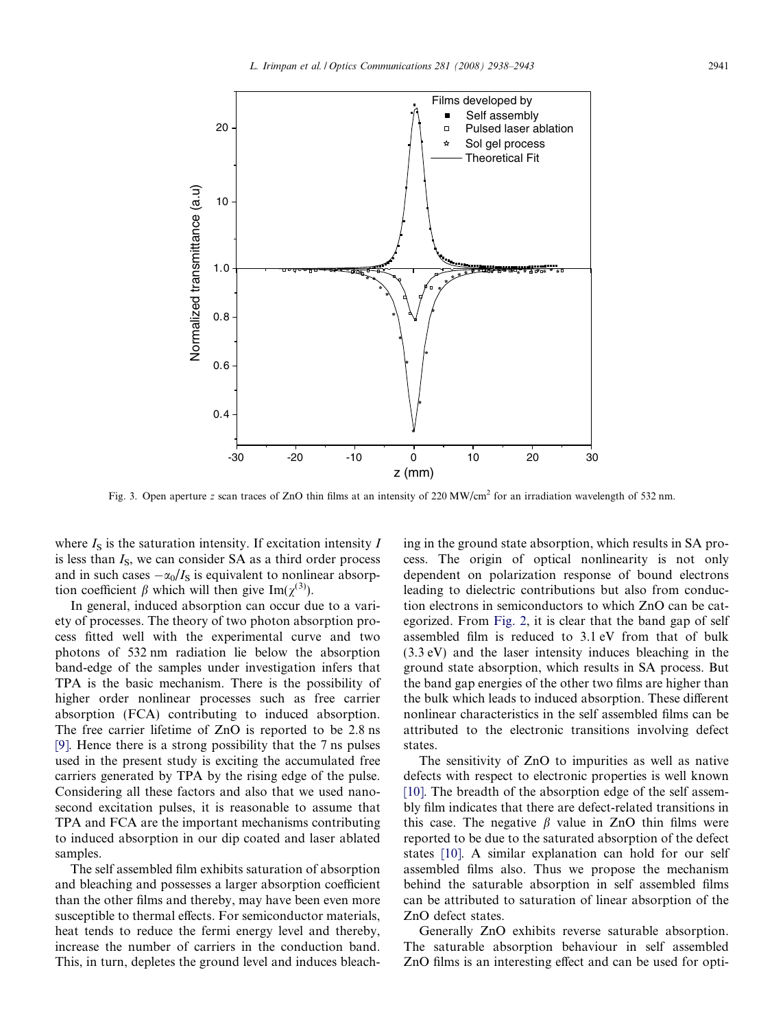<span id="page-3-0"></span>

Fig. 3. Open aperture z scan traces of ZnO thin films at an intensity of 220 MW/cm<sup>2</sup> for an irradiation wavelength of 532 nm.

where  $I<sub>S</sub>$  is the saturation intensity. If excitation intensity I is less than  $I<sub>S</sub>$ , we can consider SA as a third order process and in such cases  $-\alpha_0/I_s$  is equivalent to nonlinear absorption coefficient  $\beta$  which will then give Im( $\chi^{(3)}$ ).

In general, induced absorption can occur due to a variety of processes. The theory of two photon absorption process fitted well with the experimental curve and two photons of 532 nm radiation lie below the absorption band-edge of the samples under investigation infers that TPA is the basic mechanism. There is the possibility of higher order nonlinear processes such as free carrier absorption (FCA) contributing to induced absorption. The free carrier lifetime of ZnO is reported to be 2.8 ns [\[9\].](#page-5-0) Hence there is a strong possibility that the 7 ns pulses used in the present study is exciting the accumulated free carriers generated by TPA by the rising edge of the pulse. Considering all these factors and also that we used nanosecond excitation pulses, it is reasonable to assume that TPA and FCA are the important mechanisms contributing to induced absorption in our dip coated and laser ablated samples.

The self assembled film exhibits saturation of absorption and bleaching and possesses a larger absorption coefficient than the other films and thereby, may have been even more susceptible to thermal effects. For semiconductor materials, heat tends to reduce the fermi energy level and thereby, increase the number of carriers in the conduction band. This, in turn, depletes the ground level and induces bleaching in the ground state absorption, which results in SA process. The origin of optical nonlinearity is not only dependent on polarization response of bound electrons leading to dielectric contributions but also from conduction electrons in semiconductors to which ZnO can be categorized. From [Fig. 2](#page-2-0), it is clear that the band gap of self assembled film is reduced to 3.1 eV from that of bulk (3.3 eV) and the laser intensity induces bleaching in the ground state absorption, which results in SA process. But the band gap energies of the other two films are higher than the bulk which leads to induced absorption. These different nonlinear characteristics in the self assembled films can be attributed to the electronic transitions involving defect states.

The sensitivity of ZnO to impurities as well as native defects with respect to electronic properties is well known [\[10\].](#page-5-0) The breadth of the absorption edge of the self assembly film indicates that there are defect-related transitions in this case. The negative  $\beta$  value in ZnO thin films were reported to be due to the saturated absorption of the defect states [\[10\].](#page-5-0) A similar explanation can hold for our self assembled films also. Thus we propose the mechanism behind the saturable absorption in self assembled films can be attributed to saturation of linear absorption of the ZnO defect states.

Generally ZnO exhibits reverse saturable absorption. The saturable absorption behaviour in self assembled ZnO films is an interesting effect and can be used for opti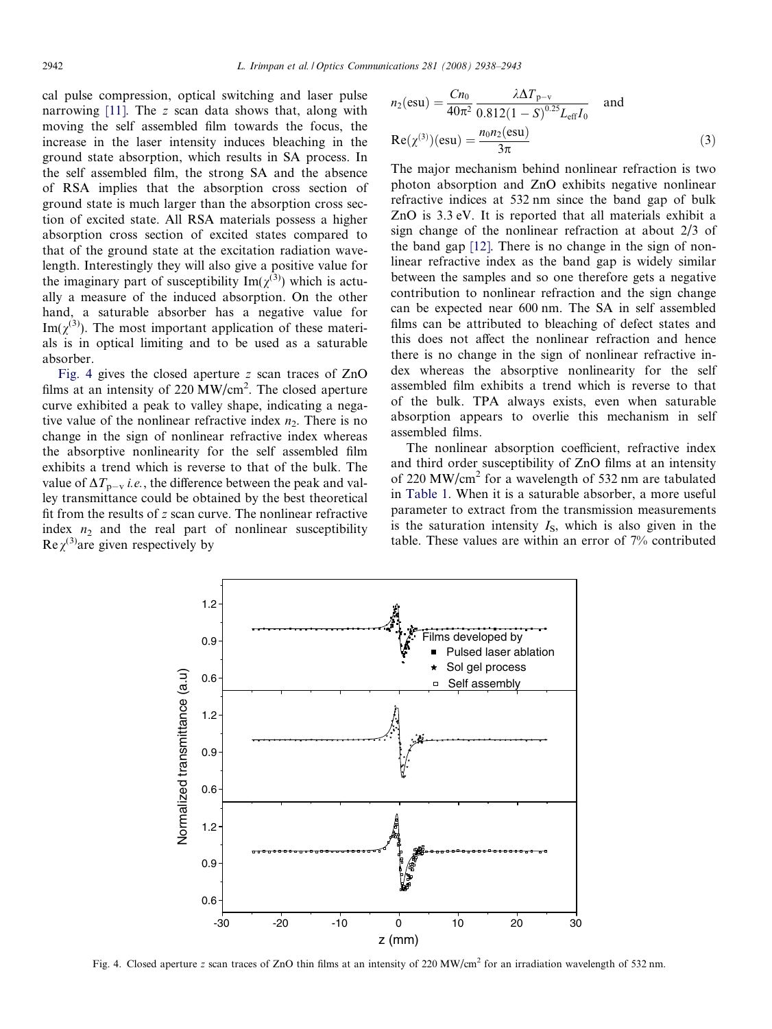cal pulse compression, optical switching and laser pulse narrowing  $[11]$ . The z scan data shows that, along with moving the self assembled film towards the focus, the increase in the laser intensity induces bleaching in the ground state absorption, which results in SA process. In the self assembled film, the strong SA and the absence of RSA implies that the absorption cross section of ground state is much larger than the absorption cross section of excited state. All RSA materials possess a higher absorption cross section of excited states compared to that of the ground state at the excitation radiation wavelength. Interestingly they will also give a positive value for the imaginary part of susceptibility  $\text{Im}(\chi^{(3)})$  which is actually a measure of the induced absorption. On the other hand, a saturable absorber has a negative value for  $\text{Im}(\chi^{(3)})$ . The most important application of these materials is in optical limiting and to be used as a saturable absorber.

Fig. 4 gives the closed aperture z scan traces of ZnO films at an intensity of 220 MW/cm<sup>2</sup>. The closed aperture curve exhibited a peak to valley shape, indicating a negative value of the nonlinear refractive index  $n<sub>2</sub>$ . There is no change in the sign of nonlinear refractive index whereas the absorptive nonlinearity for the self assembled film exhibits a trend which is reverse to that of the bulk. The value of  $\Delta T_{p-v}$  *i.e.*, the difference between the peak and valley transmittance could be obtained by the best theoretical fit from the results of z scan curve. The nonlinear refractive index  $n_2$  and the real part of nonlinear susceptibility Re  $\chi^{(3)}$  are given respectively by

$$
n_2(\text{esu}) = \frac{Cn_0}{40\pi^2} \frac{\lambda \Delta T_{p-v}}{0.812(1-S)^{0.25} L_{\text{eff}} I_0} \quad \text{and}
$$
  

$$
\text{Re}(\chi^{(3)})(\text{esu}) = \frac{n_0 n_2(\text{esu})}{3\pi}
$$
 (3)

The major mechanism behind nonlinear refraction is two photon absorption and ZnO exhibits negative nonlinear refractive indices at 532 nm since the band gap of bulk ZnO is 3.3 eV. It is reported that all materials exhibit a sign change of the nonlinear refraction at about 2/3 of the band gap [\[12\]](#page-5-0). There is no change in the sign of nonlinear refractive index as the band gap is widely similar between the samples and so one therefore gets a negative contribution to nonlinear refraction and the sign change can be expected near 600 nm. The SA in self assembled films can be attributed to bleaching of defect states and this does not affect the nonlinear refraction and hence there is no change in the sign of nonlinear refractive index whereas the absorptive nonlinearity for the self assembled film exhibits a trend which is reverse to that of the bulk. TPA always exists, even when saturable absorption appears to overlie this mechanism in self assembled films.

The nonlinear absorption coefficient, refractive index and third order susceptibility of ZnO films at an intensity of 220 MW/cm<sup>2</sup> for a wavelength of 532 nm are tabulated in [Table 1.](#page-5-0) When it is a saturable absorber, a more useful parameter to extract from the transmission measurements is the saturation intensity  $I<sub>S</sub>$ , which is also given in the table. These values are within an error of 7% contributed



Fig. 4. Closed aperture z scan traces of ZnO thin films at an intensity of 220 MW/cm<sup>2</sup> for an irradiation wavelength of 532 nm.